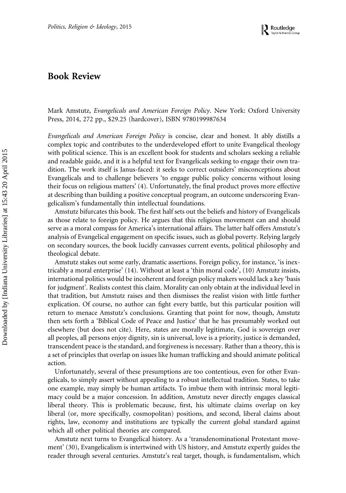## Book Review

Mark Amstutz, Evangelicals and American Foreign Policy. New York: Oxford University Press, 2014, 272 pp., \$29.25 (hardcover), ISBN 9780199987634

Evangelicals and American Foreign Policy is concise, clear and honest. It ably distills a complex topic and contributes to the underdeveloped effort to unite Evangelical theology with political science. This is an excellent book for students and scholars seeking a reliable and readable guide, and it is a helpful text for Evangelicals seeking to engage their own tradition. The work itself is Janus-faced: it seeks to correct outsiders' misconceptions about Evangelicals and to challenge believers 'to engage public policy concerns without losing their focus on religious matters' (4). Unfortunately, the final product proves more effective at describing than building a positive conceptual program, an outcome underscoring Evangelicalism's fundamentally thin intellectual foundations.

Amstutz bifurcates this book. The first half sets out the beliefs and history of Evangelicals as those relate to foreign policy. He argues that this religious movement can and should serve as a moral compass for America's international affairs. The latter half offers Amstutz's analysis of Evangelical engagement on specific issues, such as global poverty. Relying largely on secondary sources, the book lucidly canvasses current events, political philosophy and theological debate.

Amstutz stakes out some early, dramatic assertions. Foreign policy, for instance, 'is inextricably a moral enterprise' (14). Without at least a 'thin moral code', (10) Amstutz insists, international politics would be incoherent and foreign policy makers would lack a key 'basis for judgment'. Realists contest this claim. Morality can only obtain at the individual level in that tradition, but Amstutz raises and then dismisses the realist vision with little further explication. Of course, no author can fight every battle, but this particular position will return to menace Amstutz's conclusions. Granting that point for now, though, Amstutz then sets forth a 'Biblical Code of Peace and Justice' that he has presumably worked out elsewhere (but does not cite). Here, states are morally legitimate, God is sovereign over all peoples, all persons enjoy dignity, sin is universal, love is a priority, justice is demanded, transcendent peace is the standard, and forgiveness is necessary. Rather than a theory, this is a set of principles that overlap on issues like human trafficking and should animate political action.

Unfortunately, several of these presumptions are too contentious, even for other Evangelicals, to simply assert without appealing to a robust intellectual tradition. States, to take one example, may simply be human artifacts. To imbue them with intrinsic moral legitimacy could be a major concession. In addition, Amstutz never directly engages classical liberal theory. This is problematic because, first, his ultimate claims overlap on key liberal (or, more specifically, cosmopolitan) positions, and second, liberal claims about rights, law, economy and institutions are typically the current global standard against which all other political theories are compared.

Amstutz next turns to Evangelical history. As a 'transdenominational Protestant movement' (30), Evangelicalism is intertwined with US history, and Amstutz expertly guides the reader through several centuries. Amstutz's real target, though, is fundamentalism, which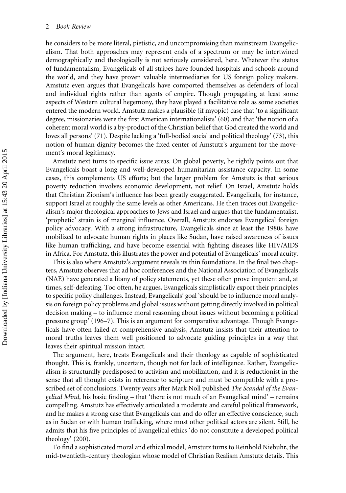he considers to be more literal, pietistic, and uncompromising than mainstream Evangelicalism. That both approaches may represent ends of a spectrum or may be intertwined demographically and theologically is not seriously considered, here. Whatever the status of fundamentalism, Evangelicals of all stripes have founded hospitals and schools around the world, and they have proven valuable intermediaries for US foreign policy makers. Amstutz even argues that Evangelicals have comported themselves as defenders of local and individual rights rather than agents of empire. Though propagating at least some aspects of Western cultural hegemony, they have played a facilitative role as some societies entered the modern world. Amstutz makes a plausible (if myopic) case that 'to a significant degree, missionaries were the first American internationalists' (60) and that 'the notion of a coherent moral world is a by-product of the Christian belief that God created the world and loves all persons' (71). Despite lacking a 'full-bodied social and political theology' (73), this notion of human dignity becomes the fixed center of Amstutz's argument for the movement's moral legitimacy.

Amstutz next turns to specific issue areas. On global poverty, he rightly points out that Evangelicals boast a long and well-developed humanitarian assistance capacity. In some cases, this complements US efforts; but the larger problem for Amstutz is that serious poverty reduction involves economic development, not relief. On Israel, Amstutz holds that Christian Zionism's influence has been greatly exaggerated. Evangelicals, for instance, support Israel at roughly the same levels as other Americans. He then traces out Evangelicalism's major theological approaches to Jews and Israel and argues that the fundamentalist, 'prophetic' strain is of marginal influence. Overall, Amstutz endorses Evangelical foreign policy advocacy. With a strong infrastructure, Evangelicals since at least the 1980s have mobilized to advocate human rights in places like Sudan, have raised awareness of issues like human trafficking, and have become essential with fighting diseases like HIV/AIDS in Africa. For Amstutz, this illustrates the power and potential of Evangelicals' moral acuity.

This is also where Amstutz's argument reveals its thin foundations. In the final two chapters, Amstutz observes that ad hoc conferences and the National Association of Evangelicals (NAE) have generated a litany of policy statements, yet these often prove impotent and, at times, self-defeating. Too often, he argues, Evangelicals simplistically export their principles to specific policy challenges. Instead, Evangelicals' goal 'should be to influence moral analysis on foreign policy problems and global issues without getting directly involved in political decision making – to influence moral reasoning about issues without becoming a political pressure group' (196–7). This is an argument for comparative advantage. Though Evangelicals have often failed at comprehensive analysis, Amstutz insists that their attention to moral truths leaves them well positioned to advocate guiding principles in a way that leaves their spiritual mission intact.

The argument, here, treats Evangelicals and their theology as capable of sophisticated thought. This is, frankly, uncertain, though not for lack of intelligence. Rather, Evangelicalism is structurally predisposed to activism and mobilization, and it is reductionist in the sense that all thought exists in reference to scripture and must be compatible with a proscribed set of conclusions. Twenty years after Mark Noll published The Scandal of the Evan*gelical Mind*, his basic finding – that 'there is not much of an Evangelical mind' – remains compelling. Amstutz has effectively articulated a moderate and careful political framework, and he makes a strong case that Evangelicals can and do offer an effective conscience, such as in Sudan or with human trafficking, where most other political actors are silent. Still, he admits that his five principles of Evangelical ethics 'do not constitute a developed political theology' (200).

To find a sophisticated moral and ethical model, Amstutz turns to Reinhold Niebuhr, the mid-twentieth-century theologian whose model of Christian Realism Amstutz details. This